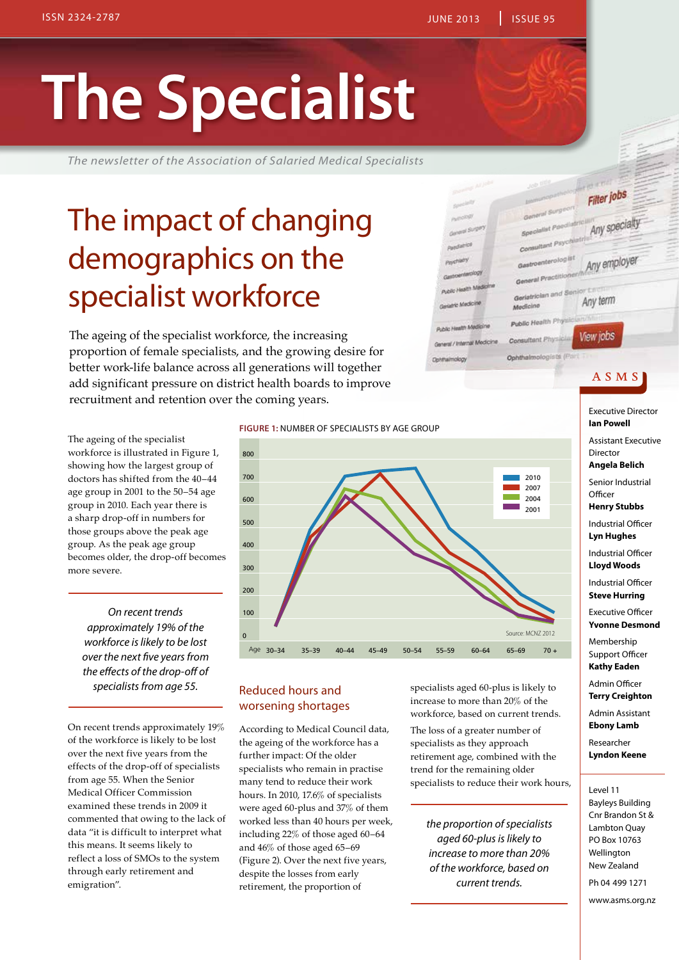ac Health M

the Medicine

ed / Internal Mo

.... Unatty Medi

**Contraining** 

# **The Specialist**

*The newsletter of the Association of Salaried Medical Specialists*

### The impact of changing demographics on the specialist workforce

The ageing of the specialist workforce, the increasing proportion of female specialists, and the growing desire for better work-life balance across all generations will together add significant pressure on district health boards to improve recruitment and retention over the coming years.

The ageing of the specialist workforce is illustrated in Figure 1, showing how the largest group of doctors has shifted from the 40–44 age group in 2001 to the 50–54 age group in 2010. Each year there is a sharp drop-off in numbers for those groups above the peak age group. As the peak age group becomes older, the drop-off becomes more severe.

*On recent trends approximately 19% of the workforce is likely to be lost over the next five years from the effects of the drop-off of specialists from age 55.* 

On recent trends approximately 19% of the workforce is likely to be lost over the next five years from the effects of the drop-off of specialists from age 55. When the Senior Medical Officer Commission examined these trends in 2009 it commented that owing to the lack of data "it is difficult to interpret what this means. It seems likely to reflect a loss of SMOs to the system through early retirement and emigration".





### Reduced hours and worsening shortages

According to Medical Council data, the ageing of the workforce has a further impact: Of the older specialists who remain in practise many tend to reduce their work hours. In 2010, 17.6% of specialists were aged 60-plus and 37% of them worked less than 40 hours per week, including 22% of those aged 60–64 and 46% of those aged 65–69 (Figure 2). Over the next five years, despite the losses from early retirement, the proportion of

specialists aged 60-plus is likely to increase to more than 20% of the workforce, based on current trends.

The loss of a greater number of specialists as they approach retirement age, combined with the trend for the remaining older specialists to reduce their work hours,

*the proportion of specialists aged 60-plus is likely to increase to more than 20% of the workforce, based on current trends.* 

A S M S

Filter jobs

troenterologist

ral Practition

6 mighty

Gari

Medicine Public Health Phys

Consultant Phy

Any specialty

Any employer

Any term

View jobs

Executive Director **Ian Powell** Assistant Executive Director **Angela Belich** Senior Industrial **Officer** 

**Henry Stubbs**

Industrial Officer **Lyn Hughes**

Industrial Officer **Lloyd Woods**

Industrial Officer **Steve Hurring**

Executive Officer **Yvonne Desmond**

Membership Support Officer **Kathy Eaden**

Admin Officer **Terry Creighton**

Admin Assistant **Ebony Lamb**

Researcher **Lyndon Keene**

Level 11

Bayleys Building Cnr Brandon St & Lambton Quay PO Box 10763 Wellington New Zealand Ph 04 499 1271

www.asms.org.nz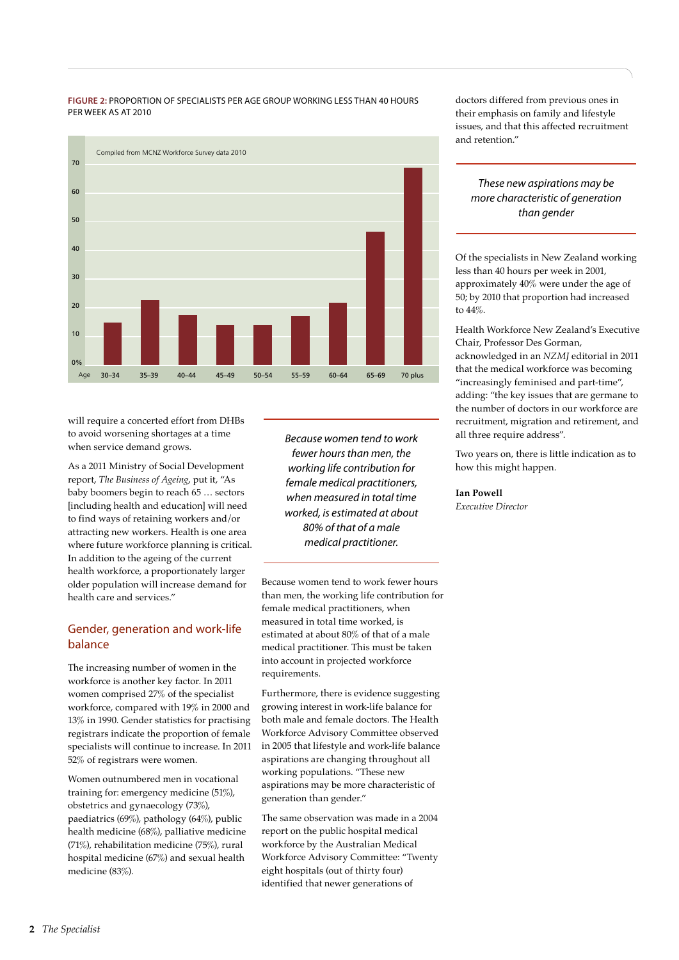#### **Figure 2:** Proportion of specialists per age group working less than 40 hours per week as at 2010 per week as at 2010



will require a concerted effort from DHBs to avoid worsening shortages at a time when service demand grows.

As a 2011 Ministry of Social Development report, *The Business of Ageing*, put it, "As baby boomers begin to reach 65 … sectors [including health and education] will need to find ways of retaining workers and/or attracting new workers. Health is one area where future workforce planning is critical. In addition to the ageing of the current health workforce, a proportionately larger older population will increase demand for health care and services."

### Gender, generation and work-life balance

The increasing number of women in the workforce is another key factor. In 2011 women comprised 27% of the specialist workforce, compared with 19% in 2000 and 13% in 1990. Gender statistics for practising registrars indicate the proportion of female specialists will continue to increase. In 2011 52% of registrars were women.

Women outnumbered men in vocational training for: emergency medicine (51%), obstetrics and gynaecology (73%), paediatrics (69%), pathology (64%), public health medicine (68%), palliative medicine (71%), rehabilitation medicine (75%), rural hospital medicine (67%) and sexual health medicine (83%).

*Because women tend to work fewer hours than men, the working life contribution for female medical practitioners, when measured in total time worked, is estimated at about 80% of that of a male medical practitioner.* 

Because women tend to work fewer hours than men, the working life contribution for female medical practitioners, when measured in total time worked, is estimated at about 80% of that of a male medical practitioner. This must be taken into account in projected workforce requirements.

Furthermore, there is evidence suggesting growing interest in work-life balance for both male and female doctors. The Health Workforce Advisory Committee observed in 2005 that lifestyle and work-life balance aspirations are changing throughout all working populations. "These new aspirations may be more characteristic of generation than gender."

The same observation was made in a 2004 report on the public hospital medical workforce by the Australian Medical Workforce Advisory Committee: "Twenty eight hospitals (out of thirty four) identified that newer generations of

doctors differed from previous ones in their emphasis on family and lifestyle issues, and that this affected recruitment and retention."

*These new aspirations may be more characteristic of generation than gender*

Of the specialists in New Zealand working less than 40 hours per week in 2001, approximately 40% were under the age of 50; by 2010 that proportion had increased to 44%.

Health Workforce New Zealand's Executive Chair, Professor Des Gorman, acknowledged in an *NZMJ* editorial in 2011 that the medical workforce was becoming "increasingly feminised and part-time", adding: "the key issues that are germane to the number of doctors in our workforce are recruitment, migration and retirement, and all three require address".

Two years on, there is little indication as to how this might happen.

### **Ian Powell**

*Executive Director*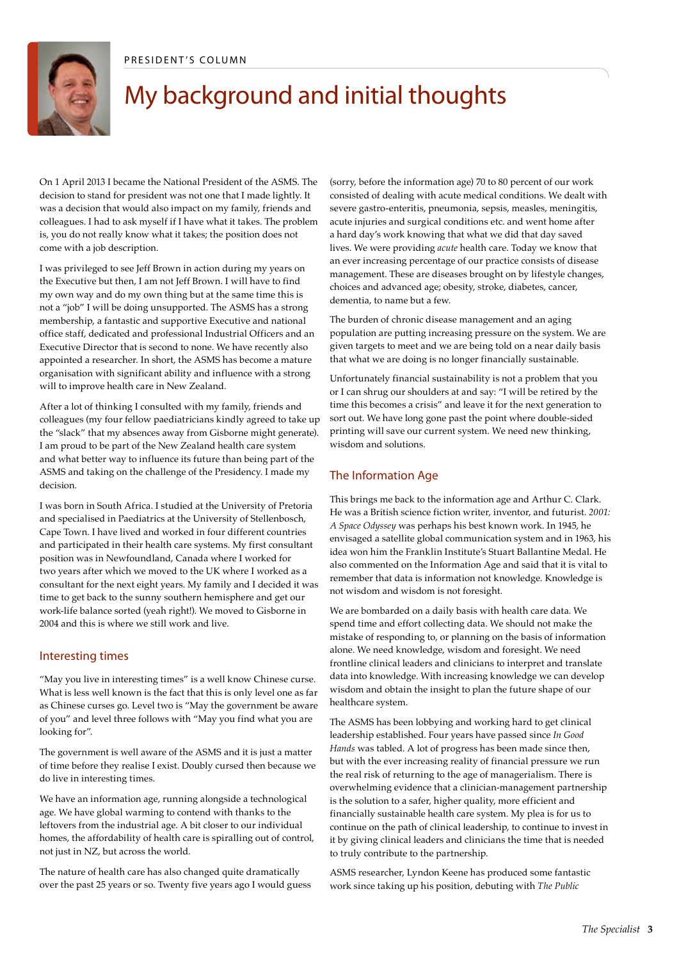

### My background and initial thoughts

On 1 April 2013 I became the National President of the ASMS. The decision to stand for president was not one that I made lightly. It was a decision that would also impact on my family, friends and colleagues. I had to ask myself if I have what it takes. The problem is, you do not really know what it takes; the position does not come with a job description.

I was privileged to see Jeff Brown in action during my years on the Executive but then, I am not Jeff Brown. I will have to find my own way and do my own thing but at the same time this is not a "job" I will be doing unsupported. The ASMS has a strong membership, a fantastic and supportive Executive and national office staff, dedicated and professional Industrial Officers and an Executive Director that is second to none. We have recently also appointed a researcher. In short, the ASMS has become a mature organisation with significant ability and influence with a strong will to improve health care in New Zealand.

After a lot of thinking I consulted with my family, friends and colleagues (my four fellow paediatricians kindly agreed to take up the "slack" that my absences away from Gisborne might generate). I am proud to be part of the New Zealand health care system and what better way to influence its future than being part of the ASMS and taking on the challenge of the Presidency. I made my decision.

I was born in South Africa. I studied at the University of Pretoria and specialised in Paediatrics at the University of Stellenbosch, Cape Town. I have lived and worked in four different countries and participated in their health care systems. My first consultant position was in Newfoundland, Canada where I worked for two years after which we moved to the UK where I worked as a consultant for the next eight years. My family and I decided it was time to get back to the sunny southern hemisphere and get our work-life balance sorted (yeah right!). We moved to Gisborne in 2004 and this is where we still work and live.

#### Interesting times

"May you live in interesting times" is a well know Chinese curse. What is less well known is the fact that this is only level one as far as Chinese curses go. Level two is "May the government be aware of you" and level three follows with "May you find what you are looking for".

The government is well aware of the ASMS and it is just a matter of time before they realise I exist. Doubly cursed then because we do live in interesting times.

We have an information age, running alongside a technological age. We have global warming to contend with thanks to the leftovers from the industrial age. A bit closer to our individual homes, the affordability of health care is spiralling out of control, not just in NZ, but across the world.

The nature of health care has also changed quite dramatically over the past 25 years or so. Twenty five years ago I would guess (sorry, before the information age) 70 to 80 percent of our work consisted of dealing with acute medical conditions. We dealt with severe gastro-enteritis, pneumonia, sepsis, measles, meningitis, acute injuries and surgical conditions etc. and went home after a hard day's work knowing that what we did that day saved lives. We were providing *acute* health care. Today we know that an ever increasing percentage of our practice consists of disease management. These are diseases brought on by lifestyle changes, choices and advanced age; obesity, stroke, diabetes, cancer, dementia, to name but a few.

The burden of chronic disease management and an aging population are putting increasing pressure on the system. We are given targets to meet and we are being told on a near daily basis that what we are doing is no longer financially sustainable.

Unfortunately financial sustainability is not a problem that you or I can shrug our shoulders at and say: "I will be retired by the time this becomes a crisis" and leave it for the next generation to sort out. We have long gone past the point where double-sided printing will save our current system. We need new thinking, wisdom and solutions.

### The Information Age

This brings me back to the information age and Arthur C. Clark. He was a British science fiction writer, inventor, and futurist. *2001: A Space Odyssey* was perhaps his best known work. In 1945, he envisaged a satellite global communication system and in 1963, his idea won him the Franklin Institute's Stuart Ballantine Medal. He also commented on the Information Age and said that it is vital to remember that data is information not knowledge. Knowledge is not wisdom and wisdom is not foresight.

We are bombarded on a daily basis with health care data. We spend time and effort collecting data. We should not make the mistake of responding to, or planning on the basis of information alone. We need knowledge, wisdom and foresight. We need frontline clinical leaders and clinicians to interpret and translate data into knowledge. With increasing knowledge we can develop wisdom and obtain the insight to plan the future shape of our healthcare system.

The ASMS has been lobbying and working hard to get clinical leadership established. Four years have passed since *In Good Hands* was tabled. A lot of progress has been made since then, but with the ever increasing reality of financial pressure we run the real risk of returning to the age of managerialism. There is overwhelming evidence that a clinician-management partnership is the solution to a safer, higher quality, more efficient and financially sustainable health care system. My plea is for us to continue on the path of clinical leadership, to continue to invest in it by giving clinical leaders and clinicians the time that is needed to truly contribute to the partnership.

ASMS researcher, Lyndon Keene has produced some fantastic work since taking up his position, debuting with *The Public*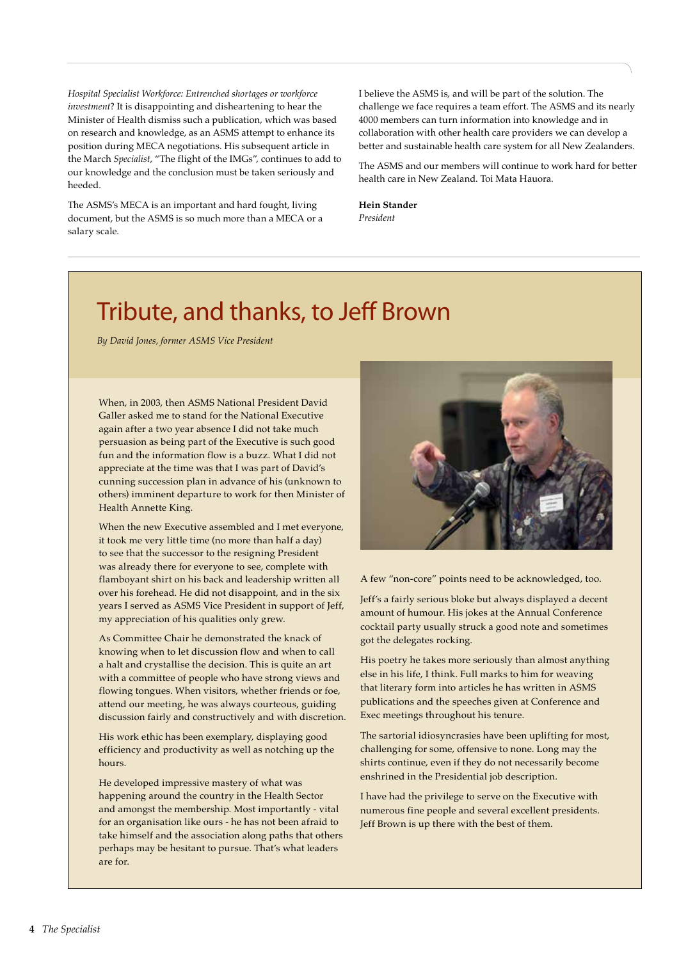*Hospital Specialist Workforce: Entrenched shortages or workforce investment*? It is disappointing and disheartening to hear the Minister of Health dismiss such a publication, which was based on research and knowledge, as an ASMS attempt to enhance its position during MECA negotiations. His subsequent article in the March *Specialist*, "The flight of the IMGs", continues to add to our knowledge and the conclusion must be taken seriously and heeded.

The ASMS's MECA is an important and hard fought, living document, but the ASMS is so much more than a MECA or a salary scale.

I believe the ASMS is, and will be part of the solution. The challenge we face requires a team effort. The ASMS and its nearly 4000 members can turn information into knowledge and in collaboration with other health care providers we can develop a better and sustainable health care system for all New Zealanders.

The ASMS and our members will continue to work hard for better health care in New Zealand. Toi Mata Hauora.

**Hein Stander** *President*

### Tribute, and thanks, to Jeff Brown

*By David Jones, former ASMS Vice President*

When, in 2003, then ASMS National President David Galler asked me to stand for the National Executive again after a two year absence I did not take much persuasion as being part of the Executive is such good fun and the information flow is a buzz. What I did not appreciate at the time was that I was part of David's cunning succession plan in advance of his (unknown to others) imminent departure to work for then Minister of Health Annette King.

When the new Executive assembled and I met everyone, it took me very little time (no more than half a day) to see that the successor to the resigning President was already there for everyone to see, complete with flamboyant shirt on his back and leadership written all over his forehead. He did not disappoint, and in the six years I served as ASMS Vice President in support of Jeff, my appreciation of his qualities only grew.

As Committee Chair he demonstrated the knack of knowing when to let discussion flow and when to call a halt and crystallise the decision. This is quite an art with a committee of people who have strong views and flowing tongues. When visitors, whether friends or foe, attend our meeting, he was always courteous, guiding discussion fairly and constructively and with discretion.

His work ethic has been exemplary, displaying good efficiency and productivity as well as notching up the hours.

He developed impressive mastery of what was happening around the country in the Health Sector and amongst the membership. Most importantly - vital for an organisation like ours - he has not been afraid to take himself and the association along paths that others perhaps may be hesitant to pursue. That's what leaders are for.



A few "non-core" points need to be acknowledged, too.

Jeff's a fairly serious bloke but always displayed a decent amount of humour. His jokes at the Annual Conference cocktail party usually struck a good note and sometimes got the delegates rocking.

His poetry he takes more seriously than almost anything else in his life, I think. Full marks to him for weaving that literary form into articles he has written in ASMS publications and the speeches given at Conference and Exec meetings throughout his tenure.

The sartorial idiosyncrasies have been uplifting for most, challenging for some, offensive to none. Long may the shirts continue, even if they do not necessarily become enshrined in the Presidential job description.

I have had the privilege to serve on the Executive with numerous fine people and several excellent presidents. Jeff Brown is up there with the best of them.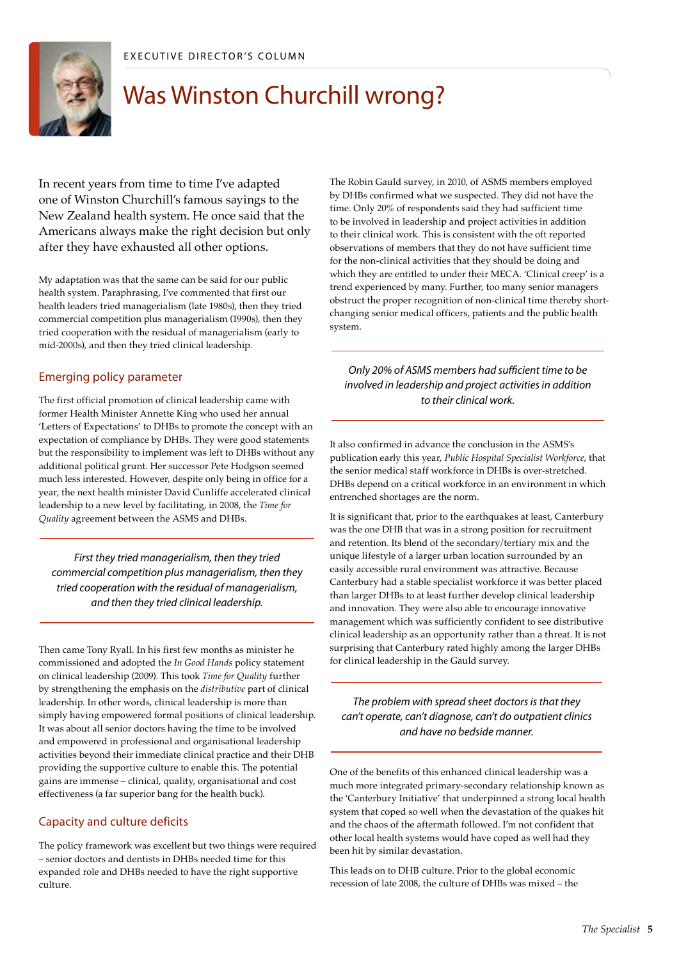

### Was Winston Churchill wrong?

In recent years from time to time I've adapted one of Winston Churchill's famous sayings to the New Zealand health system. He once said that the Americans always make the right decision but only after they have exhausted all other options.

My adaptation was that the same can be said for our public health system. Paraphrasing, I've commented that first our health leaders tried managerialism (late 1980s), then they tried commercial competition plus managerialism (1990s), then they tried cooperation with the residual of managerialism (early to mid-2000s), and then they tried clinical leadership.

### Emerging policy parameter

The first official promotion of clinical leadership came with former Health Minister Annette King who used her annual 'Letters of Expectations' to DHBs to promote the concept with an expectation of compliance by DHBs. They were good statements but the responsibility to implement was left to DHBs without any additional political grunt. Her successor Pete Hodgson seemed much less interested. However, despite only being in office for a year, the next health minister David Cunliffe accelerated clinical leadership to a new level by facilitating, in 2008, the *Time for Quality* agreement between the ASMS and DHBs.

*First they tried managerialism, then they tried commercial competition plus managerialism, then they tried cooperation with the residual of managerialism, and then they tried clinical leadership.*

Then came Tony Ryall. In his first few months as minister he commissioned and adopted the *In Good Hands* policy statement on clinical leadership (2009). This took *Time for Quality* further by strengthening the emphasis on the *distributive* part of clinical leadership. In other words, clinical leadership is more than simply having empowered formal positions of clinical leadership. It was about all senior doctors having the time to be involved and empowered in professional and organisational leadership activities beyond their immediate clinical practice and their DHB providing the supportive culture to enable this. The potential gains are immense – clinical, quality, organisational and cost effectiveness (a far superior bang for the health buck).

### Capacity and culture deficits

The policy framework was excellent but two things were required – senior doctors and dentists in DHBs needed time for this expanded role and DHBs needed to have the right supportive culture.

The Robin Gauld survey, in 2010, of ASMS members employed by DHBs confirmed what we suspected. They did not have the time. Only 20% of respondents said they had sufficient time to be involved in leadership and project activities in addition to their clinical work. This is consistent with the oft reported observations of members that they do not have sufficient time for the non-clinical activities that they should be doing and which they are entitled to under their MECA. 'Clinical creep' is a trend experienced by many. Further, too many senior managers obstruct the proper recognition of non-clinical time thereby shortchanging senior medical officers, patients and the public health system.

*Only 20% of ASMS members had sufficient time to be involved in leadership and project activities in addition to their clinical work.* 

It also confirmed in advance the conclusion in the ASMS's publication early this year, *Public Hospital Specialist Workforce*, that the senior medical staff workforce in DHBs is over-stretched. DHBs depend on a critical workforce in an environment in which entrenched shortages are the norm.

It is significant that, prior to the earthquakes at least, Canterbury was the one DHB that was in a strong position for recruitment and retention. Its blend of the secondary/tertiary mix and the unique lifestyle of a larger urban location surrounded by an easily accessible rural environment was attractive. Because Canterbury had a stable specialist workforce it was better placed than larger DHBs to at least further develop clinical leadership and innovation. They were also able to encourage innovative management which was sufficiently confident to see distributive clinical leadership as an opportunity rather than a threat. It is not surprising that Canterbury rated highly among the larger DHBs for clinical leadership in the Gauld survey.

*The problem with spread sheet doctors is that they can't operate, can't diagnose, can't do outpatient clinics and have no bedside manner.*

One of the benefits of this enhanced clinical leadership was a much more integrated primary-secondary relationship known as the 'Canterbury Initiative' that underpinned a strong local health system that coped so well when the devastation of the quakes hit and the chaos of the aftermath followed. I'm not confident that other local health systems would have coped as well had they been hit by similar devastation.

This leads on to DHB culture. Prior to the global economic recession of late 2008, the culture of DHBs was mixed – the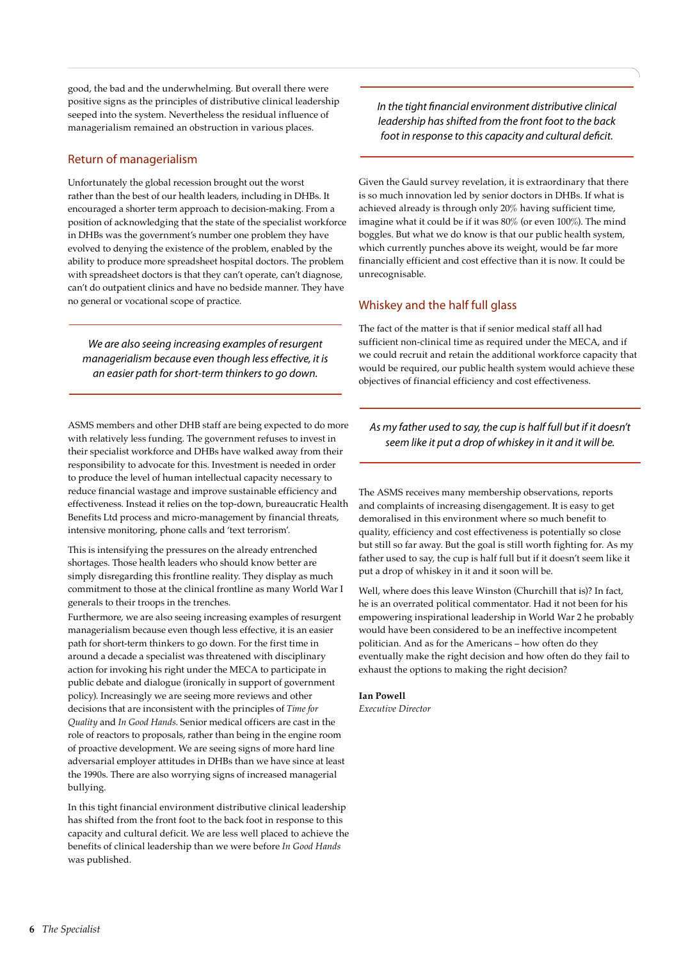good, the bad and the underwhelming. But overall there were positive signs as the principles of distributive clinical leadership seeped into the system. Nevertheless the residual influence of managerialism remained an obstruction in various places.

### Return of managerialism

Unfortunately the global recession brought out the worst rather than the best of our health leaders, including in DHBs. It encouraged a shorter term approach to decision-making. From a position of acknowledging that the state of the specialist workforce in DHBs was the government's number one problem they have evolved to denying the existence of the problem, enabled by the ability to produce more spreadsheet hospital doctors. The problem with spreadsheet doctors is that they can't operate, can't diagnose, can't do outpatient clinics and have no bedside manner. They have no general or vocational scope of practice.

*We are also seeing increasing examples of resurgent managerialism because even though less effective, it is an easier path for short-term thinkers to go down.* 

ASMS members and other DHB staff are being expected to do more with relatively less funding. The government refuses to invest in their specialist workforce and DHBs have walked away from their responsibility to advocate for this. Investment is needed in order to produce the level of human intellectual capacity necessary to reduce financial wastage and improve sustainable efficiency and effectiveness. Instead it relies on the top-down, bureaucratic Health Benefits Ltd process and micro-management by financial threats, intensive monitoring, phone calls and 'text terrorism'.

This is intensifying the pressures on the already entrenched shortages. Those health leaders who should know better are simply disregarding this frontline reality. They display as much commitment to those at the clinical frontline as many World War I generals to their troops in the trenches.

Furthermore, we are also seeing increasing examples of resurgent managerialism because even though less effective, it is an easier path for short-term thinkers to go down. For the first time in around a decade a specialist was threatened with disciplinary action for invoking his right under the MECA to participate in public debate and dialogue (ironically in support of government policy). Increasingly we are seeing more reviews and other decisions that are inconsistent with the principles of *Time for Quality* and *In Good Hands*. Senior medical officers are cast in the role of reactors to proposals, rather than being in the engine room of proactive development. We are seeing signs of more hard line adversarial employer attitudes in DHBs than we have since at least the 1990s. There are also worrying signs of increased managerial bullying.

In this tight financial environment distributive clinical leadership has shifted from the front foot to the back foot in response to this capacity and cultural deficit. We are less well placed to achieve the benefits of clinical leadership than we were before *In Good Hands*  was published.

*In the tight financial environment distributive clinical leadership has shifted from the front foot to the back foot in response to this capacity and cultural deficit.*

Given the Gauld survey revelation, it is extraordinary that there is so much innovation led by senior doctors in DHBs. If what is achieved already is through only 20% having sufficient time, imagine what it could be if it was 80% (or even 100%). The mind boggles. But what we do know is that our public health system, which currently punches above its weight, would be far more financially efficient and cost effective than it is now. It could be unrecognisable.

### Whiskey and the half full glass

The fact of the matter is that if senior medical staff all had sufficient non-clinical time as required under the MECA, and if we could recruit and retain the additional workforce capacity that would be required, our public health system would achieve these objectives of financial efficiency and cost effectiveness.

### *As my father used to say, the cup is half full but if it doesn't seem like it put a drop of whiskey in it and it will be.*

The ASMS receives many membership observations, reports and complaints of increasing disengagement. It is easy to get demoralised in this environment where so much benefit to quality, efficiency and cost effectiveness is potentially so close but still so far away. But the goal is still worth fighting for. As my father used to say, the cup is half full but if it doesn't seem like it put a drop of whiskey in it and it soon will be.

Well, where does this leave Winston (Churchill that is)? In fact, he is an overrated political commentator. Had it not been for his empowering inspirational leadership in World War 2 he probably would have been considered to be an ineffective incompetent politician. And as for the Americans – how often do they eventually make the right decision and how often do they fail to exhaust the options to making the right decision?

**Ian Powell** *Executive Director*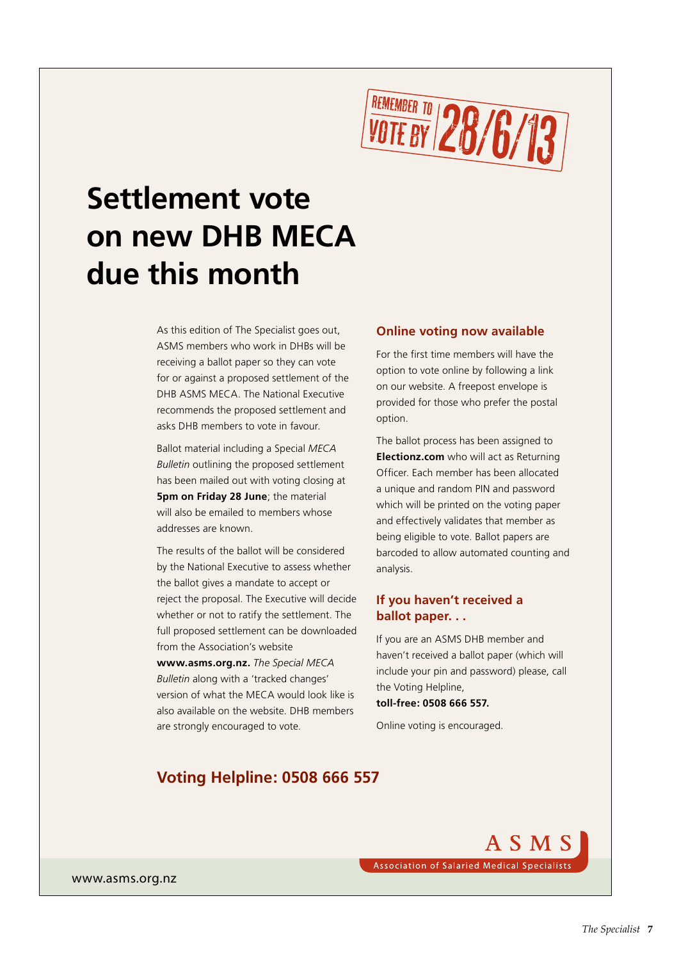

### **Settlement vote on new DHB MECA due this month**

As this edition of The Specialist goes out, ASMS members who work in DHBs will be receiving a ballot paper so they can vote for or against a proposed settlement of the DHB ASMS MECA. The National Executive recommends the proposed settlement and asks DHB members to vote in favour.

Ballot material including a Special *MECA Bulletin* outlining the proposed settlement has been mailed out with voting closing at **5pm on Friday 28 June**; the material will also be emailed to members whose addresses are known.

The results of the ballot will be considered by the National Executive to assess whether the ballot gives a mandate to accept or reject the proposal. The Executive will decide whether or not to ratify the settlement. The full proposed settlement can be downloaded from the Association's website

**www.asms.org.nz.** *The Special MECA Bulletin* along with a 'tracked changes' version of what the MECA would look like is also available on the website. DHB members are strongly encouraged to vote.

#### **Online voting now available**

For the first time members will have the option to vote online by following a link on our website. A freepost envelope is provided for those who prefer the postal option.

The ballot process has been assigned to **Electionz.com** who will act as Returning Officer. Each member has been allocated a unique and random PIN and password which will be printed on the voting paper and effectively validates that member as being eligible to vote. Ballot papers are barcoded to allow automated counting and analysis.

### **If you haven't received a ballot paper. . .**

If you are an ASMS DHB member and haven't received a ballot paper (which will include your pin and password) please, call the Voting Helpline, **toll-free: 0508 666 557.** 

Online voting is encouraged.

### **Voting Helpline: 0508 666 557**

A S M S **Association of Salaried Medical Specialists** 

www.asms.org.nz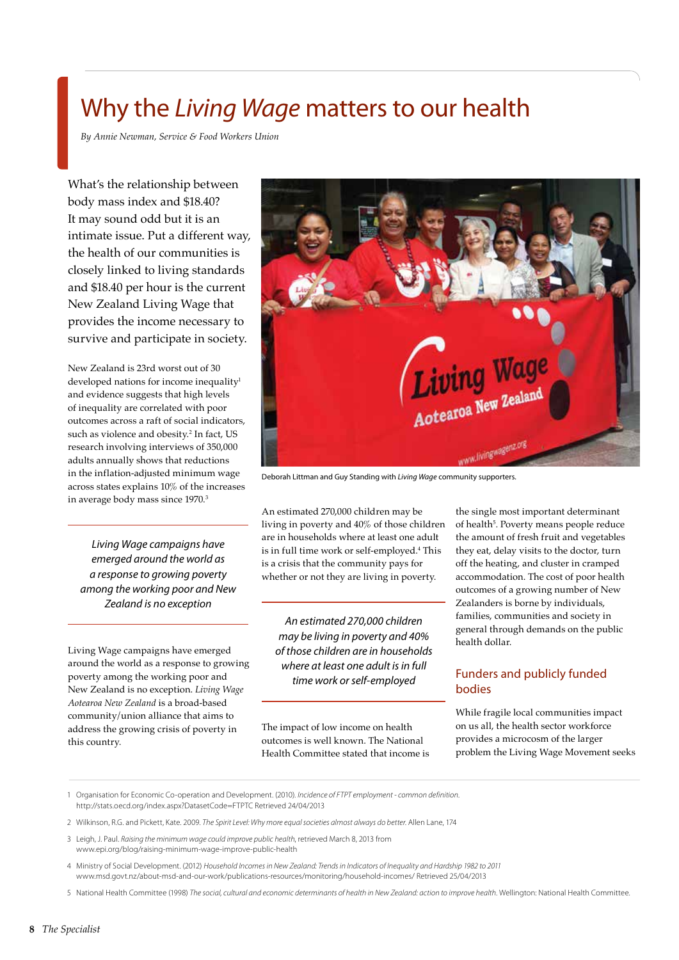### Why the *Living Wage* matters to our health

*By Annie Newman, Service & Food Workers Union*

What's the relationship between body mass index and \$18.40? It may sound odd but it is an intimate issue. Put a different way, the health of our communities is closely linked to living standards and \$18.40 per hour is the current New Zealand Living Wage that provides the income necessary to survive and participate in society.

New Zealand is 23rd worst out of 30 developed nations for income inequality<sup>1</sup> and evidence suggests that high levels of inequality are correlated with poor outcomes across a raft of social indicators, such as violence and obesity.2 In fact, US research involving interviews of 350,000 adults annually shows that reductions in the inflation-adjusted minimum wage across states explains 10% of the increases in average body mass since 1970.<sup>3</sup>

*Living Wage campaigns have emerged around the world as a response to growing poverty among the working poor and New Zealand is no exception*

Living Wage campaigns have emerged around the world as a response to growing poverty among the working poor and New Zealand is no exception. *Living Wage Aotearoa New Zealand* is a broad-based community/union alliance that aims to address the growing crisis of poverty in this country.



Deborah Littman and Guy Standing with *Living Wage* community supporters.

An estimated 270,000 children may be living in poverty and 40% of those children are in households where at least one adult is in full time work or self-employed.4 This is a crisis that the community pays for whether or not they are living in poverty.

*An estimated 270,000 children may be living in poverty and 40% of those children are in households where at least one adult is in full time work or self-employed*

The impact of low income on health outcomes is well known. The National Health Committee stated that income is

the single most important determinant of health<sup>5</sup>. Poverty means people reduce the amount of fresh fruit and vegetables they eat, delay visits to the doctor, turn off the heating, and cluster in cramped accommodation. The cost of poor health outcomes of a growing number of New Zealanders is borne by individuals, families, communities and society in general through demands on the public health dollar.

### Funders and publicly funded bodies

While fragile local communities impact on us all, the health sector workforce provides a microcosm of the larger problem the Living Wage Movement seeks

```
1 Organisation for Economic Co-operation and Development. (2010). Incidence of FTPT employment - common definition.
http://stats.oecd.org/index.aspx?DatasetCode=FTPTC Retrieved 24/04/2013
```
- 2 Wilkinson, R.G. and Pickett, Kate. 2009. *The Spirit Level: Why more equal societies almost always do better*. Allen Lane, 174
- 3 Leigh, J. Paul. *Raising the minimum wage could improve public health*, retrieved March 8, 2013 from www.epi.org/blog/raising-minimum-wage-improve-public-health
- 4 Ministry of Social Development. (2012) *Household Incomes in New Zealand: Trends in Indicators of Inequality and Hardship 1982 to 2011* www.msd.govt.nz/about-msd-and-our-work/publications-resources/monitoring/household-incomes/ Retrieved 25/04/2013

5 National Health Committee (1998) *The social, cultural and economic determinants of health in New Zealand: action to improve health*. Wellington: National Health Committee.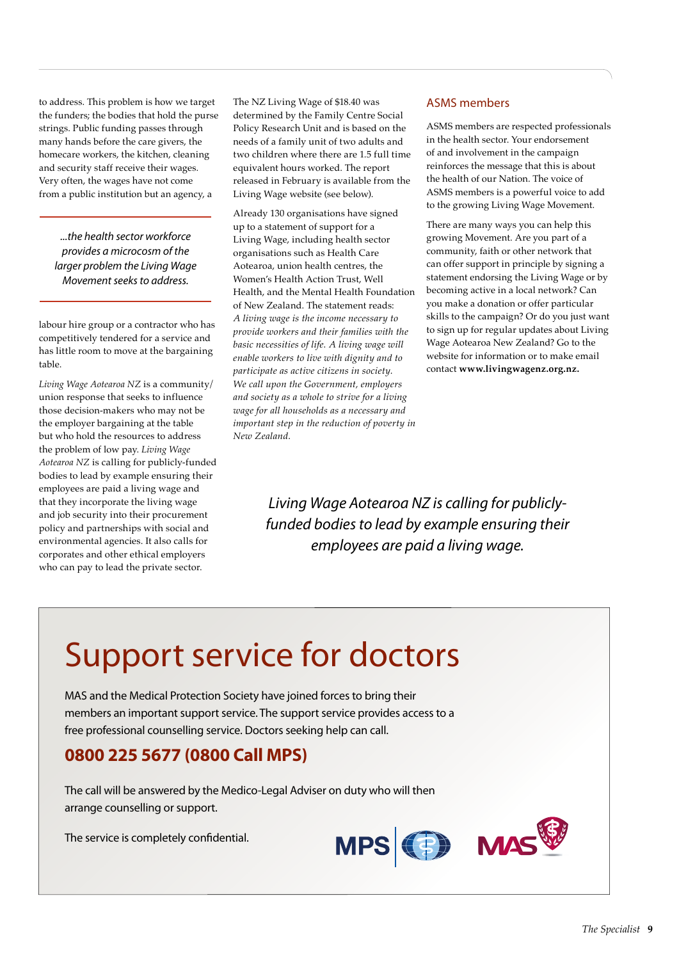to address. This problem is how we target the funders; the bodies that hold the purse strings. Public funding passes through many hands before the care givers, the homecare workers, the kitchen, cleaning and security staff receive their wages. Very often, the wages have not come from a public institution but an agency, a

*...the health sector workforce provides a microcosm of the larger problem the Living Wage Movement seeks to address.* 

labour hire group or a contractor who has competitively tendered for a service and has little room to move at the bargaining table.

*Living Wage Aotearoa NZ* is a community/ union response that seeks to influence those decision-makers who may not be the employer bargaining at the table but who hold the resources to address the problem of low pay. *Living Wage Aotearoa NZ* is calling for publicly-funded bodies to lead by example ensuring their employees are paid a living wage and that they incorporate the living wage and job security into their procurement policy and partnerships with social and environmental agencies. It also calls for corporates and other ethical employers who can pay to lead the private sector.

The NZ Living Wage of \$18.40 was determined by the Family Centre Social Policy Research Unit and is based on the needs of a family unit of two adults and two children where there are 1.5 full time equivalent hours worked. The report released in February is available from the Living Wage website (see below).

Already 130 organisations have signed up to a statement of support for a Living Wage, including health sector organisations such as Health Care Aotearoa, union health centres, the Women's Health Action Trust, Well Health, and the Mental Health Foundation of New Zealand. The statement reads: *A living wage is the income necessary to provide workers and their families with the basic necessities of life. A living wage will enable workers to live with dignity and to participate as active citizens in society. We call upon the Government, employers and society as a whole to strive for a living wage for all households as a necessary and important step in the reduction of poverty in New Zealand.*

### ASMS members

ASMS members are respected professionals in the health sector. Your endorsement of and involvement in the campaign reinforces the message that this is about the health of our Nation. The voice of ASMS members is a powerful voice to add to the growing Living Wage Movement.

There are many ways you can help this growing Movement. Are you part of a community, faith or other network that can offer support in principle by signing a statement endorsing the Living Wage or by becoming active in a local network? Can you make a donation or offer particular skills to the campaign? Or do you just want to sign up for regular updates about Living Wage Aotearoa New Zealand? Go to the website for information or to make email contact **www.livingwagenz.org.nz.**

*Living Wage Aotearoa NZ is calling for publiclyfunded bodies to lead by example ensuring their employees are paid a living wage.*

### Support service for doctors

MAS and the Medical Protection Society have joined forces to bring their members an important support service. The support service provides access to a free professional counselling service. Doctors seeking help can call.

### **0800 225 5677 (0800 Call MPS)**

The call will be answered by the Medico-Legal Adviser on duty who will then arrange counselling or support.

The service is completely confidential.



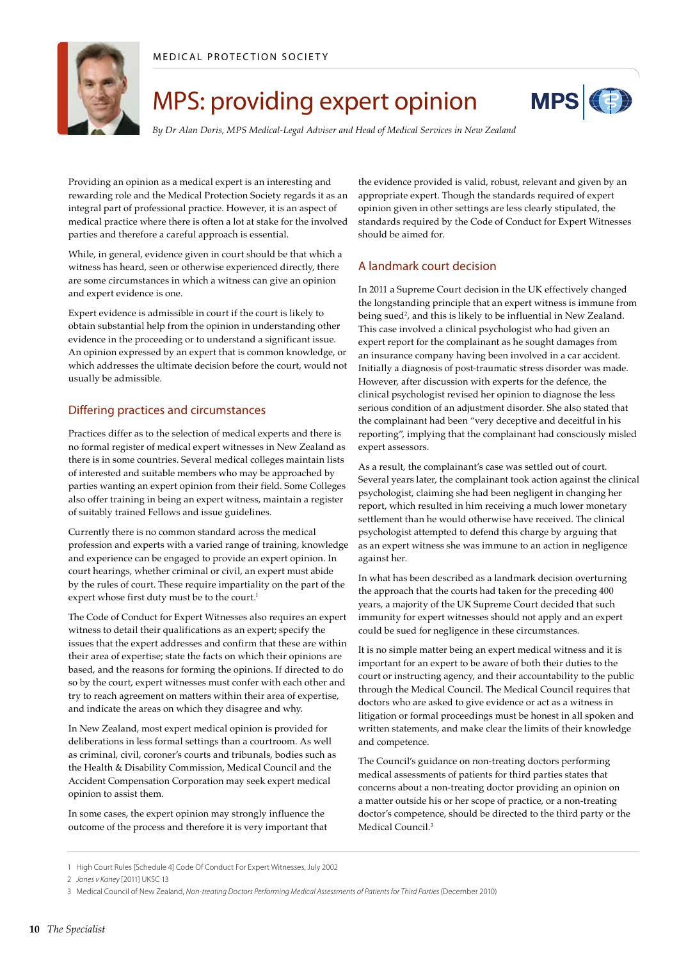

### MPS: providing expert opinion



*By Dr Alan Doris, MPS Medical-Legal Adviser and Head of Medical Services in New Zealand*

Providing an opinion as a medical expert is an interesting and rewarding role and the Medical Protection Society regards it as an integral part of professional practice. However, it is an aspect of medical practice where there is often a lot at stake for the involved parties and therefore a careful approach is essential.

While, in general, evidence given in court should be that which a witness has heard, seen or otherwise experienced directly, there are some circumstances in which a witness can give an opinion and expert evidence is one.

Expert evidence is admissible in court if the court is likely to obtain substantial help from the opinion in understanding other evidence in the proceeding or to understand a significant issue. An opinion expressed by an expert that is common knowledge, or which addresses the ultimate decision before the court, would not usually be admissible.

### Differing practices and circumstances

Practices differ as to the selection of medical experts and there is no formal register of medical expert witnesses in New Zealand as there is in some countries. Several medical colleges maintain lists of interested and suitable members who may be approached by parties wanting an expert opinion from their field. Some Colleges also offer training in being an expert witness, maintain a register of suitably trained Fellows and issue guidelines.

Currently there is no common standard across the medical profession and experts with a varied range of training, knowledge and experience can be engaged to provide an expert opinion. In court hearings, whether criminal or civil, an expert must abide by the rules of court. These require impartiality on the part of the expert whose first duty must be to the court.<sup>1</sup>

The Code of Conduct for Expert Witnesses also requires an expert witness to detail their qualifications as an expert; specify the issues that the expert addresses and confirm that these are within their area of expertise; state the facts on which their opinions are based, and the reasons for forming the opinions. If directed to do so by the court, expert witnesses must confer with each other and try to reach agreement on matters within their area of expertise, and indicate the areas on which they disagree and why.

In New Zealand, most expert medical opinion is provided for deliberations in less formal settings than a courtroom. As well as criminal, civil, coroner's courts and tribunals, bodies such as the Health & Disability Commission, Medical Council and the Accident Compensation Corporation may seek expert medical opinion to assist them.

In some cases, the expert opinion may strongly influence the outcome of the process and therefore it is very important that the evidence provided is valid, robust, relevant and given by an appropriate expert. Though the standards required of expert opinion given in other settings are less clearly stipulated, the standards required by the Code of Conduct for Expert Witnesses should be aimed for.

### A landmark court decision

In 2011 a Supreme Court decision in the UK effectively changed the longstanding principle that an expert witness is immune from being sued<sup>2</sup>, and this is likely to be influential in New Zealand. This case involved a clinical psychologist who had given an expert report for the complainant as he sought damages from an insurance company having been involved in a car accident. Initially a diagnosis of post-traumatic stress disorder was made. However, after discussion with experts for the defence, the clinical psychologist revised her opinion to diagnose the less serious condition of an adjustment disorder. She also stated that the complainant had been "very deceptive and deceitful in his reporting", implying that the complainant had consciously misled expert assessors.

As a result, the complainant's case was settled out of court. Several years later, the complainant took action against the clinical psychologist, claiming she had been negligent in changing her report, which resulted in him receiving a much lower monetary settlement than he would otherwise have received. The clinical psychologist attempted to defend this charge by arguing that as an expert witness she was immune to an action in negligence against her.

In what has been described as a landmark decision overturning the approach that the courts had taken for the preceding 400 years, a majority of the UK Supreme Court decided that such immunity for expert witnesses should not apply and an expert could be sued for negligence in these circumstances.

It is no simple matter being an expert medical witness and it is important for an expert to be aware of both their duties to the court or instructing agency, and their accountability to the public through the Medical Council. The Medical Council requires that doctors who are asked to give evidence or act as a witness in litigation or formal proceedings must be honest in all spoken and written statements, and make clear the limits of their knowledge and competence.

The Council's guidance on non-treating doctors performing medical assessments of patients for third parties states that concerns about a non-treating doctor providing an opinion on a matter outside his or her scope of practice, or a non-treating doctor's competence, should be directed to the third party or the Medical Council.<sup>3</sup>

<sup>1</sup> High Court Rules [Schedule 4] Code Of Conduct For Expert Witnesses, July 2002

<sup>2</sup> *Jones v Kaney* [2011] UKSC 13

<sup>3</sup> Medical Council of New Zealand, *Non-treating Doctors Performing Medical Assessments of Patients for Third Parties* (December 2010)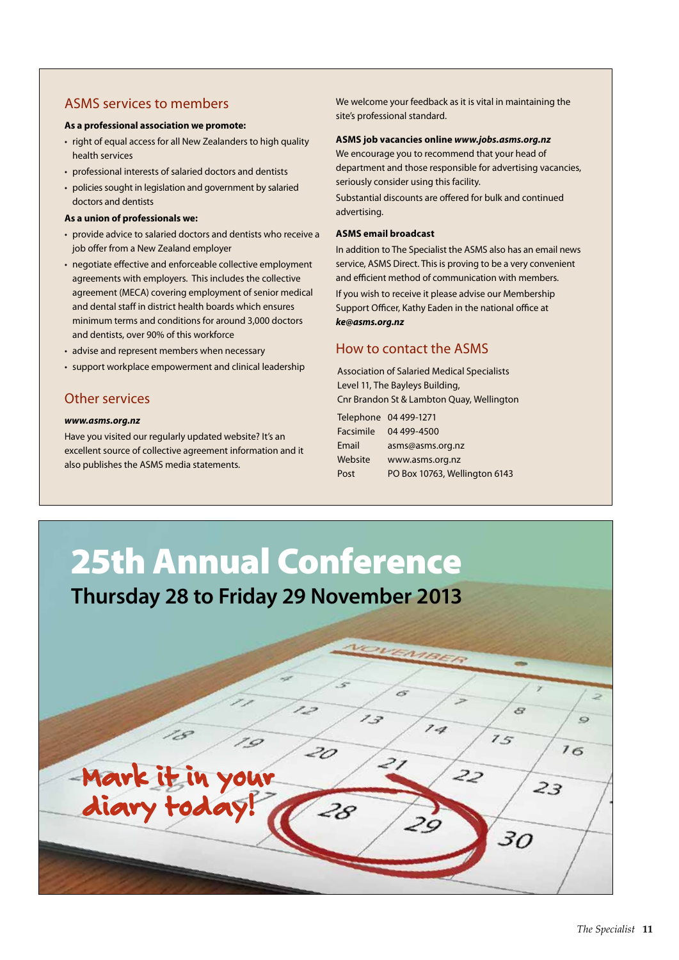### ASMS services to members

#### **As a professional association we promote:**

- right of equal access for all New Zealanders to high quality health services
- professional interests of salaried doctors and dentists
- policies sought in legislation and government by salaried doctors and dentists

#### **As a union of professionals we:**

- provide advice to salaried doctors and dentists who receive a job offer from a New Zealand employer
- negotiate effective and enforceable collective employment agreements with employers. This includes the collective agreement (MECA) covering employment of senior medical and dental staff in district health boards which ensures minimum terms and conditions for around 3,000 doctors and dentists, over 90% of this workforce
- advise and represent members when necessary
- support workplace empowerment and clinical leadership

### Other services

#### *www.asms.org.nz*

Have you visited our regularly updated website? It's an excellent source of collective agreement information and it also publishes the ASMS media statements.

We welcome your feedback as it is vital in maintaining the site's professional standard.

#### **ASMS job vacancies online** *www.jobs.asms.org.nz*

We encourage you to recommend that your head of department and those responsible for advertising vacancies, seriously consider using this facility.

Substantial discounts are offered for bulk and continued advertising.

#### **ASMS email broadcast**

In addition to The Specialist the ASMS also has an email news service, ASMS Direct. This is proving to be a very convenient and efficient method of communication with members.

If you wish to receive it please advise our Membership Support Officer, Kathy Eaden in the national office at *ke@asms.org.nz*

### How to contact the ASMS

Association of Salaried Medical Specialists Level 11, The Bayleys Building, Cnr Brandon St & Lambton Quay, Wellington

|                  | Telephone 04 499-1271         |
|------------------|-------------------------------|
| <b>Facsimile</b> | 04 499-4500                   |
| Email            | asms@asms.org.nz              |
| Website          | www.asms.org.nz               |
| Post             | PO Box 10763, Wellington 6143 |